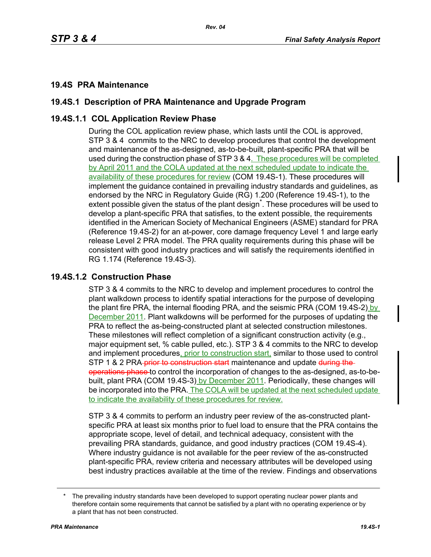# **19.4S PRA Maintenance**

# **19.4S.1 Description of PRA Maintenance and Upgrade Program**

## **19.4S.1.1 COL Application Review Phase**

During the COL application review phase, which lasts until the COL is approved, STP 3 & 4 commits to the NRC to develop procedures that control the development and maintenance of the as-designed, as-to-be-built, plant-specific PRA that will be used during the construction phase of STP 3 & 4. These procedures will be completed by April 2011 and the COLA updated at the next scheduled update to indicate the availability of these procedures for review (COM 19.4S-1). These procedures will implement the guidance contained in prevailing industry standards and guidelines, as endorsed by the NRC in Regulatory Guide (RG) 1.200 (Reference 19.4S-1), to the extent possible given the status of the plant design<sup>\*</sup>. These procedures will be used to develop a plant-specific PRA that satisfies, to the extent possible, the requirements identified in the American Society of Mechanical Engineers (ASME) standard for PRA (Reference 19.4S-2) for an at-power, core damage frequency Level 1 and large early release Level 2 PRA model. The PRA quality requirements during this phase will be consistent with good industry practices and will satisfy the requirements identified in RG 1.174 (Reference 19.4S-3).

## **19.4S.1.2 Construction Phase**

STP 3 & 4 commits to the NRC to develop and implement procedures to control the plant walkdown process to identify spatial interactions for the purpose of developing the plant fire PRA, the internal flooding PRA, and the seismic PRA (COM 19.4S-2) by December 2011. Plant walkdowns will be performed for the purposes of updating the PRA to reflect the as-being-constructed plant at selected construction milestones. These milestones will reflect completion of a significant construction activity (e.g., major equipment set, % cable pulled, etc.). STP 3 & 4 commits to the NRC to develop and implement procedures, prior to construction start, similar to those used to control STP 1 & 2 PRA-prior to construction start maintenance and update during theoperations phase to control the incorporation of changes to the as-designed, as-to-bebuilt, plant PRA (COM 19.4S-3) by December 2011. Periodically, these changes will be incorporated into the PRA. The COLA will be updated at the next scheduled update to indicate the availability of these procedures for review.

STP 3 & 4 commits to perform an industry peer review of the as-constructed plantspecific PRA at least six months prior to fuel load to ensure that the PRA contains the appropriate scope, level of detail, and technical adequacy, consistent with the prevailing PRA standards, guidance, and good industry practices (COM 19.4S-4). Where industry guidance is not available for the peer review of the as-constructed plant-specific PRA, review criteria and necessary attributes will be developed using best industry practices available at the time of the review. Findings and observations

The prevailing industry standards have been developed to support operating nuclear power plants and therefore contain some requirements that cannot be satisfied by a plant with no operating experience or by a plant that has not been constructed.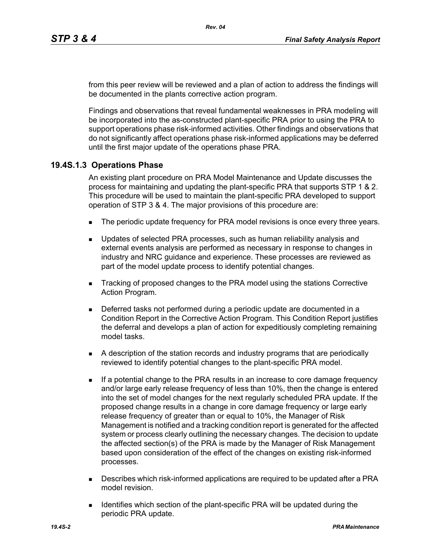from this peer review will be reviewed and a plan of action to address the findings will be documented in the plants corrective action program.

Findings and observations that reveal fundamental weaknesses in PRA modeling will be incorporated into the as-constructed plant-specific PRA prior to using the PRA to support operations phase risk-informed activities. Other findings and observations that do not significantly affect operations phase risk-informed applications may be deferred until the first major update of the operations phase PRA.

#### **19.4S.1.3 Operations Phase**

An existing plant procedure on PRA Model Maintenance and Update discusses the process for maintaining and updating the plant-specific PRA that supports STP 1 & 2. This procedure will be used to maintain the plant-specific PRA developed to support operation of STP 3 & 4. The major provisions of this procedure are:

- The periodic update frequency for PRA model revisions is once every three years.
- **D** Updates of selected PRA processes, such as human reliability analysis and external events analysis are performed as necessary in response to changes in industry and NRC guidance and experience. These processes are reviewed as part of the model update process to identify potential changes.
- **Tracking of proposed changes to the PRA model using the stations Corrective** Action Program.
- Deferred tasks not performed during a periodic update are documented in a Condition Report in the Corrective Action Program. This Condition Report justifies the deferral and develops a plan of action for expeditiously completing remaining model tasks.
- A description of the station records and industry programs that are periodically reviewed to identify potential changes to the plant-specific PRA model.
- If a potential change to the PRA results in an increase to core damage frequency and/or large early release frequency of less than 10%, then the change is entered into the set of model changes for the next regularly scheduled PRA update. If the proposed change results in a change in core damage frequency or large early release frequency of greater than or equal to 10%, the Manager of Risk Management is notified and a tracking condition report is generated for the affected system or process clearly outlining the necessary changes. The decision to update the affected section(s) of the PRA is made by the Manager of Risk Management based upon consideration of the effect of the changes on existing risk-informed processes.
- Describes which risk-informed applications are required to be updated after a PRA model revision.
- **IDENT** Identifies which section of the plant-specific PRA will be updated during the periodic PRA update.